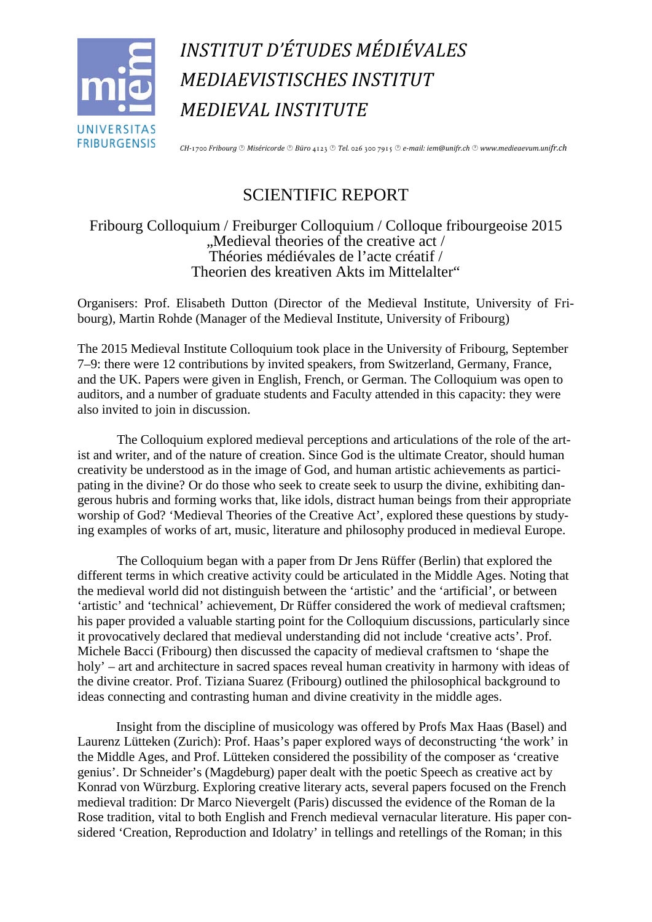

*INSTITUT D'ÉTUDES MÉDIÉVALES MEDIAEVISTISCHES INSTITUT MEDIEVAL INSTITUTE*

*CH-*1700 *Fribourg Miséricorde Büro* 4123 *Tel.* 026 300 7915 *e-mail: iem@unifr.ch www.medieaevum.unifr.ch*

## SCIENTIFIC REPORT

Fribourg Colloquium / Freiburger Colloquium / Colloque fribourgeoise 2015 ", Medieval theories of the creative act / Théories médiévales de l'acte créatif / Theorien des kreativen Akts im Mittelalter"

Organisers: Prof. Elisabeth Dutton (Director of the Medieval Institute, University of Fribourg), Martin Rohde (Manager of the Medieval Institute, University of Fribourg)

The 2015 Medieval Institute Colloquium took place in the University of Fribourg, September 7–9: there were 12 contributions by invited speakers, from Switzerland, Germany, France, and the UK. Papers were given in English, French, or German. The Colloquium was open to auditors, and a number of graduate students and Faculty attended in this capacity: they were also invited to join in discussion.

The Colloquium explored medieval perceptions and articulations of the role of the artist and writer, and of the nature of creation. Since God is the ultimate Creator, should human creativity be understood as in the image of God, and human artistic achievements as participating in the divine? Or do those who seek to create seek to usurp the divine, exhibiting dangerous hubris and forming works that, like idols, distract human beings from their appropriate worship of God? 'Medieval Theories of the Creative Act', explored these questions by studying examples of works of art, music, literature and philosophy produced in medieval Europe.

The Colloquium began with a paper from Dr Jens Rüffer (Berlin) that explored the different terms in which creative activity could be articulated in the Middle Ages. Noting that the medieval world did not distinguish between the 'artistic' and the 'artificial', or between 'artistic' and 'technical' achievement, Dr Rüffer considered the work of medieval craftsmen; his paper provided a valuable starting point for the Colloquium discussions, particularly since it provocatively declared that medieval understanding did not include 'creative acts'. Prof. Michele Bacci (Fribourg) then discussed the capacity of medieval craftsmen to 'shape the holy' – art and architecture in sacred spaces reveal human creativity in harmony with ideas of the divine creator. Prof. Tiziana Suarez (Fribourg) outlined the philosophical background to ideas connecting and contrasting human and divine creativity in the middle ages.

Insight from the discipline of musicology was offered by Profs Max Haas (Basel) and Laurenz Lütteken (Zurich): Prof. Haas's paper explored ways of deconstructing 'the work' in the Middle Ages, and Prof. Lütteken considered the possibility of the composer as 'creative genius'. Dr Schneider's (Magdeburg) paper dealt with the poetic Speech as creative act by Konrad von Würzburg. Exploring creative literary acts, several papers focused on the French medieval tradition: Dr Marco Nievergelt (Paris) discussed the evidence of the Roman de la Rose tradition, vital to both English and French medieval vernacular literature. His paper considered 'Creation, Reproduction and Idolatry' in tellings and retellings of the Roman; in this